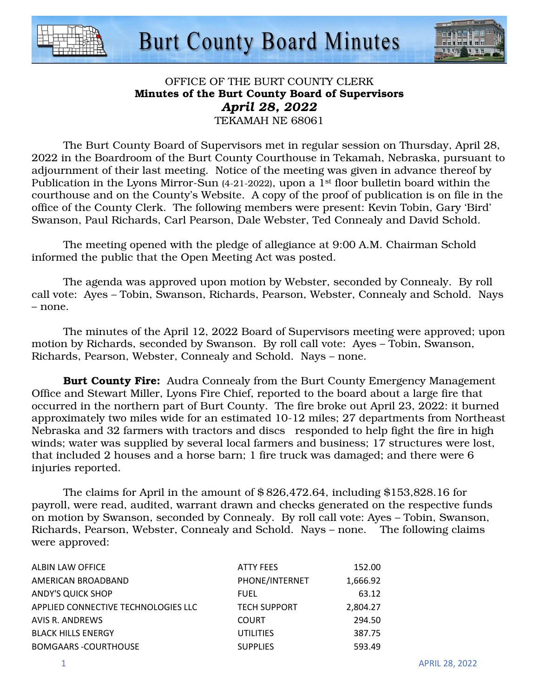



### OFFICE OF THE BURT COUNTY CLERK Minutes of the Burt County Board of Supervisors *April 28, 2022*  TEKAMAH NE 68061

 The Burt County Board of Supervisors met in regular session on Thursday, April 28, 2022 in the Boardroom of the Burt County Courthouse in Tekamah, Nebraska, pursuant to adjournment of their last meeting. Notice of the meeting was given in advance thereof by Publication in the Lyons Mirror-Sun (4-21-2022), upon a 1<sup>st</sup> floor bulletin board within the courthouse and on the County's Website. A copy of the proof of publication is on file in the office of the County Clerk. The following members were present: Kevin Tobin, Gary 'Bird' Swanson, Paul Richards, Carl Pearson, Dale Webster, Ted Connealy and David Schold.

The meeting opened with the pledge of allegiance at 9:00 A.M. Chairman Schold informed the public that the Open Meeting Act was posted.

The agenda was approved upon motion by Webster, seconded by Connealy. By roll call vote: Ayes – Tobin, Swanson, Richards, Pearson, Webster, Connealy and Schold. Nays – none.

The minutes of the April 12, 2022 Board of Supervisors meeting were approved; upon motion by Richards, seconded by Swanson. By roll call vote: Ayes – Tobin, Swanson, Richards, Pearson, Webster, Connealy and Schold. Nays – none.

**Burt County Fire:** Audra Connealy from the Burt County Emergency Management Office and Stewart Miller, Lyons Fire Chief, reported to the board about a large fire that occurred in the northern part of Burt County. The fire broke out April 23, 2022: it burned approximately two miles wide for an estimated 10-12 miles; 27 departments from Northeast Nebraska and 32 farmers with tractors and discs responded to help fight the fire in high winds; water was supplied by several local farmers and business; 17 structures were lost, that included 2 houses and a horse barn; 1 fire truck was damaged; and there were 6 injuries reported.

The claims for April in the amount of \$ 826,472.64, including \$153,828.16 for payroll, were read, audited, warrant drawn and checks generated on the respective funds on motion by Swanson, seconded by Connealy. By roll call vote: Ayes – Tobin, Swanson, Richards, Pearson, Webster, Connealy and Schold. Nays – none. The following claims were approved:

| ALBIN LAW OFFICE                    | <b>ATTY FEES</b>    | 152.00   |
|-------------------------------------|---------------------|----------|
| AMERICAN BROADBAND                  | PHONE/INTERNET      | 1.666.92 |
| <b>ANDY'S QUICK SHOP</b>            | <b>FUEL</b>         | 63.12    |
| APPLIED CONNECTIVE TECHNOLOGIES LLC | <b>TECH SUPPORT</b> | 2,804.27 |
| AVIS R. ANDREWS                     | <b>COURT</b>        | 294.50   |
| <b>BLACK HILLS ENERGY</b>           | <b>UTILITIES</b>    | 387.75   |
| <b>BOMGAARS -COURTHOUSE</b>         | <b>SUPPLIES</b>     | 593.49   |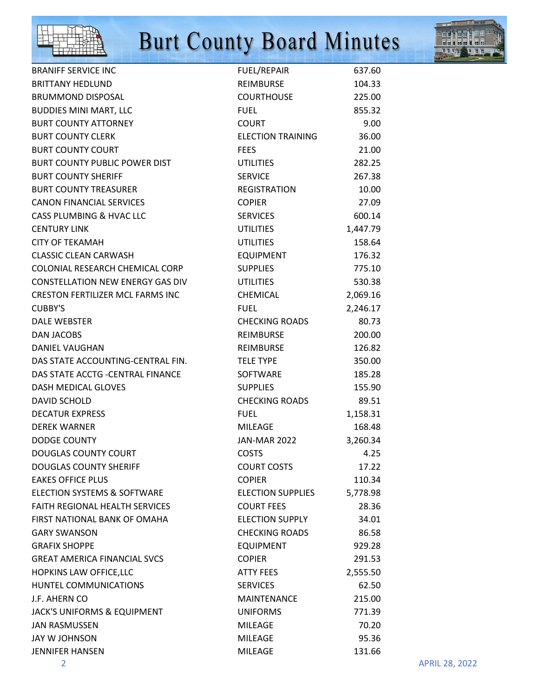



| <b>BRANIFF SERVICE INC</b>              | FUEL/REPAIR              | 637.60   |
|-----------------------------------------|--------------------------|----------|
| <b>BRITTANY HEDLUND</b>                 | REIMBURSE                | 104.33   |
| <b>BRUMMOND DISPOSAL</b>                | <b>COURTHOUSE</b>        | 225.00   |
| <b>BUDDIES MINI MART, LLC</b>           | <b>FUEL</b>              | 855.32   |
| <b>BURT COUNTY ATTORNEY</b>             | <b>COURT</b>             | 9.00     |
| <b>BURT COUNTY CLERK</b>                | <b>ELECTION TRAINING</b> | 36.00    |
| <b>BURT COUNTY COURT</b>                | <b>FEES</b>              | 21.00    |
| BURT COUNTY PUBLIC POWER DIST           | <b>UTILITIES</b>         | 282.25   |
| <b>BURT COUNTY SHERIFF</b>              | <b>SERVICE</b>           | 267.38   |
| <b>BURT COUNTY TREASURER</b>            | REGISTRATION             | 10.00    |
| CANON FINANCIAL SERVICES                | <b>COPIER</b>            | 27.09    |
| CASS PLUMBING & HVAC LLC                | <b>SERVICES</b>          | 600.14   |
| <b>CENTURY LINK</b>                     | <b>UTILITIES</b>         | 1,447.79 |
| <b>CITY OF TEKAMAH</b>                  | <b>UTILITIES</b>         | 158.64   |
| <b>CLASSIC CLEAN CARWASH</b>            | <b>EQUIPMENT</b>         | 176.32   |
| COLONIAL RESEARCH CHEMICAL CORP         | <b>SUPPLIES</b>          | 775.10   |
| CONSTELLATION NEW ENERGY GAS DIV        | <b>UTILITIES</b>         | 530.38   |
| <b>CRESTON FERTILIZER MCL FARMS INC</b> | CHEMICAL                 | 2,069.16 |
| <b>CUBBY'S</b>                          | <b>FUEL</b>              | 2,246.17 |
| <b>DALE WEBSTER</b>                     | <b>CHECKING ROADS</b>    | 80.73    |
| DAN JACOBS                              | <b>REIMBURSE</b>         | 200.00   |
| <b>DANIEL VAUGHAN</b>                   | REIMBURSE                | 126.82   |
| DAS STATE ACCOUNTING-CENTRAL FIN.       | <b>TELE TYPE</b>         | 350.00   |
| DAS STATE ACCTG -CENTRAL FINANCE        | <b>SOFTWARE</b>          | 185.28   |
| DASH MEDICAL GLOVES                     | <b>SUPPLIES</b>          | 155.90   |
| DAVID SCHOLD                            | <b>CHECKING ROADS</b>    | 89.51    |
| <b>DECATUR EXPRESS</b>                  | <b>FUEL</b>              | 1,158.31 |
| <b>DEREK WARNER</b>                     | MILEAGE                  | 168.48   |
| <b>DODGE COUNTY</b>                     | JAN-MAR 2022             | 3,260.34 |
| <b>DOUGLAS COUNTY COURT</b>             | <b>COSTS</b>             | 4.25     |
| <b>DOUGLAS COUNTY SHERIFF</b>           | <b>COURT COSTS</b>       | 17.22    |
| <b>EAKES OFFICE PLUS</b>                | <b>COPIER</b>            | 110.34   |
| ELECTION SYSTEMS & SOFTWARE             | <b>ELECTION SUPPLIES</b> | 5,778.98 |
| FAITH REGIONAL HEALTH SERVICES          | <b>COURT FEES</b>        | 28.36    |
| FIRST NATIONAL BANK OF OMAHA            | <b>ELECTION SUPPLY</b>   | 34.01    |
| <b>GARY SWANSON</b>                     | <b>CHECKING ROADS</b>    | 86.58    |
| <b>GRAFIX SHOPPE</b>                    | <b>EQUIPMENT</b>         | 929.28   |
| <b>GREAT AMERICA FINANCIAL SVCS</b>     | <b>COPIER</b>            | 291.53   |
| <b>HOPKINS LAW OFFICE, LLC</b>          | <b>ATTY FEES</b>         | 2,555.50 |
| HUNTEL COMMUNICATIONS                   | <b>SERVICES</b>          | 62.50    |
| J.F. AHERN CO                           | MAINTENANCE              | 215.00   |
| JACK'S UNIFORMS & EQUIPMENT             | <b>UNIFORMS</b>          | 771.39   |
| <b>JAN RASMUSSEN</b>                    | <b>MILEAGE</b>           | 70.20    |
| JAY W JOHNSON                           | <b>MILEAGE</b>           | 95.36    |
| <b>JENNIFER HANSEN</b>                  | <b>MILEAGE</b>           | 131.66   |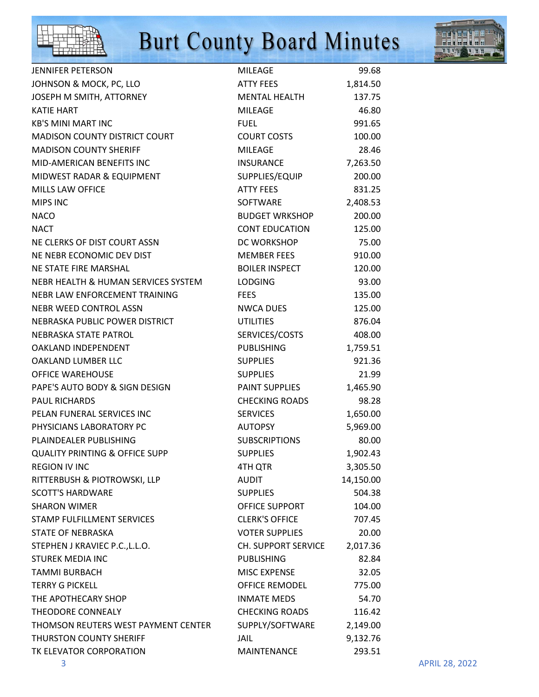



| <b>JENNIFER PETERSON</b>                  | <b>MILEAGE</b>        | 99.68     |
|-------------------------------------------|-----------------------|-----------|
| JOHNSON & MOCK, PC, LLO                   | ATTY FEES             | 1,814.50  |
| JOSEPH M SMITH, ATTORNEY                  | <b>MENTAL HEALTH</b>  | 137.75    |
| <b>KATIE HART</b>                         | <b>MILEAGE</b>        | 46.80     |
| <b>KB'S MINI MART INC</b>                 | <b>FUEL</b>           | 991.65    |
| MADISON COUNTY DISTRICT COURT             | <b>COURT COSTS</b>    | 100.00    |
| <b>MADISON COUNTY SHERIFF</b>             | <b>MILEAGE</b>        | 28.46     |
| MID-AMERICAN BENEFITS INC                 | <b>INSURANCE</b>      | 7,263.50  |
| MIDWEST RADAR & EQUIPMENT                 | SUPPLIES/EQUIP        | 200.00    |
| <b>MILLS LAW OFFICE</b>                   | <b>ATTY FEES</b>      | 831.25    |
| <b>MIPS INC</b>                           | SOFTWARE              | 2,408.53  |
| <b>NACO</b>                               | <b>BUDGET WRKSHOP</b> | 200.00    |
| <b>NACT</b>                               | <b>CONT EDUCATION</b> | 125.00    |
| NE CLERKS OF DIST COURT ASSN              | DC WORKSHOP           | 75.00     |
| NE NEBR ECONOMIC DEV DIST                 | <b>MEMBER FEES</b>    | 910.00    |
| NE STATE FIRE MARSHAL                     | <b>BOILER INSPECT</b> | 120.00    |
| NEBR HEALTH & HUMAN SERVICES SYSTEM       | <b>LODGING</b>        | 93.00     |
| NEBR LAW ENFORCEMENT TRAINING             | <b>FEES</b>           | 135.00    |
| NEBR WEED CONTROL ASSN                    | <b>NWCA DUES</b>      | 125.00    |
| NEBRASKA PUBLIC POWER DISTRICT            | <b>UTILITIES</b>      | 876.04    |
| NEBRASKA STATE PATROL                     | SERVICES/COSTS        | 408.00    |
| OAKLAND INDEPENDENT                       | <b>PUBLISHING</b>     | 1,759.51  |
| OAKLAND LUMBER LLC                        | <b>SUPPLIES</b>       | 921.36    |
| <b>OFFICE WAREHOUSE</b>                   | <b>SUPPLIES</b>       | 21.99     |
| PAPE'S AUTO BODY & SIGN DESIGN            | PAINT SUPPLIES        | 1,465.90  |
| <b>PAUL RICHARDS</b>                      | <b>CHECKING ROADS</b> | 98.28     |
| PELAN FUNERAL SERVICES INC                | <b>SERVICES</b>       | 1,650.00  |
| PHYSICIANS LABORATORY PC                  | <b>AUTOPSY</b>        | 5,969.00  |
| PLAINDEALER PUBLISHING                    | <b>SUBSCRIPTIONS</b>  | 80.00     |
| <b>QUALITY PRINTING &amp; OFFICE SUPP</b> | <b>SUPPLIES</b>       | 1,902.43  |
| <b>REGION IV INC</b>                      | 4TH QTR               | 3,305.50  |
| RITTERBUSH & PIOTROWSKI, LLP              | <b>AUDIT</b>          | 14,150.00 |
| <b>SCOTT'S HARDWARE</b>                   | <b>SUPPLIES</b>       | 504.38    |
| <b>SHARON WIMER</b>                       | OFFICE SUPPORT        | 104.00    |
| STAMP FULFILLMENT SERVICES                | <b>CLERK'S OFFICE</b> | 707.45    |
| <b>STATE OF NEBRASKA</b>                  | <b>VOTER SUPPLIES</b> | 20.00     |
| STEPHEN J KRAVIEC P.C., L.L.O.            | CH. SUPPORT SERVICE   | 2,017.36  |
| <b>STUREK MEDIA INC</b>                   | <b>PUBLISHING</b>     | 82.84     |
| <b>TAMMI BURBACH</b>                      | <b>MISC EXPENSE</b>   | 32.05     |
| <b>TERRY G PICKELL</b>                    | <b>OFFICE REMODEL</b> | 775.00    |
| THE APOTHECARY SHOP                       | <b>INMATE MEDS</b>    | 54.70     |
| THEODORE CONNEALY                         | <b>CHECKING ROADS</b> | 116.42    |
| THOMSON REUTERS WEST PAYMENT CENTER       | SUPPLY/SOFTWARE       | 2,149.00  |
| THURSTON COUNTY SHERIFF                   | JAIL                  | 9,132.76  |
| TK ELEVATOR CORPORATION                   | MAINTENANCE           | 293.51    |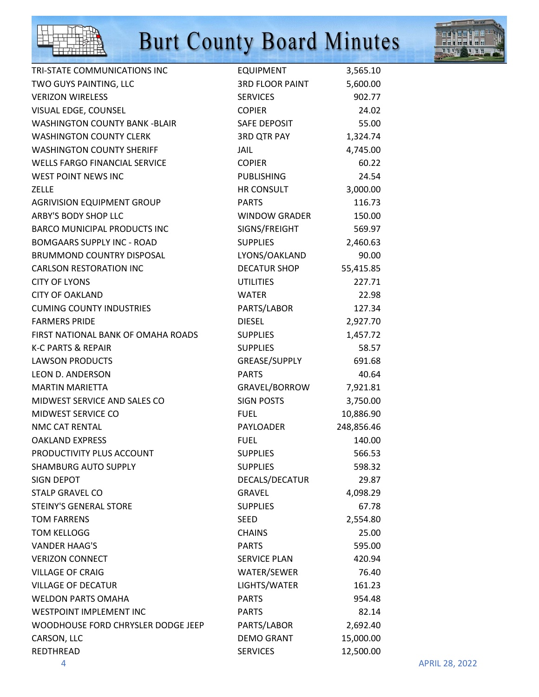



| TRI-STATE COMMUNICATIONS INC       | EQUIPMENT              | 3,565.10   |                       |
|------------------------------------|------------------------|------------|-----------------------|
| TWO GUYS PAINTING, LLC             | 3RD FLOOR PAINT        | 5,600.00   |                       |
| <b>VERIZON WIRELESS</b>            | <b>SERVICES</b>        | 902.77     |                       |
| VISUAL EDGE, COUNSEL               | <b>COPIER</b>          | 24.02      |                       |
| WASHINGTON COUNTY BANK -BLAIR      | SAFE DEPOSIT           | 55.00      |                       |
| <b>WASHINGTON COUNTY CLERK</b>     | 3RD QTR PAY            | 1,324.74   |                       |
| <b>WASHINGTON COUNTY SHERIFF</b>   | JAIL                   | 4,745.00   |                       |
| WELLS FARGO FINANCIAL SERVICE      | <b>COPIER</b>          | 60.22      |                       |
| <b>WEST POINT NEWS INC</b>         | PUBLISHING             | 24.54      |                       |
| <b>ZELLE</b>                       | HR CONSULT             | 3,000.00   |                       |
| AGRIVISION EQUIPMENT GROUP         | <b>PARTS</b>           | 116.73     |                       |
| ARBY'S BODY SHOP LLC               | WINDOW GRADER          | 150.00     |                       |
| BARCO MUNICIPAL PRODUCTS INC       | SIGNS/FREIGHT          | 569.97     |                       |
| <b>BOMGAARS SUPPLY INC - ROAD</b>  | <b>SUPPLIES</b>        | 2,460.63   |                       |
| BRUMMOND COUNTRY DISPOSAL          | LYONS/OAKLAND          | 90.00      |                       |
| <b>CARLSON RESTORATION INC</b>     | <b>DECATUR SHOP</b>    | 55,415.85  |                       |
| <b>CITY OF LYONS</b>               | <b>UTILITIES</b>       | 227.71     |                       |
| <b>CITY OF OAKLAND</b>             | <b>WATER</b>           | 22.98      |                       |
| <b>CUMING COUNTY INDUSTRIES</b>    | PARTS/LABOR            | 127.34     |                       |
| <b>FARMERS PRIDE</b>               | <b>DIESEL</b>          | 2,927.70   |                       |
| FIRST NATIONAL BANK OF OMAHA ROADS | SUPPLIES               | 1,457.72   |                       |
| <b>K-C PARTS &amp; REPAIR</b>      | <b>SUPPLIES</b>        | 58.57      |                       |
| <b>LAWSON PRODUCTS</b>             | GREASE/SUPPLY          | 691.68     |                       |
| LEON D. ANDERSON                   | <b>PARTS</b>           | 40.64      |                       |
| <b>MARTIN MARIETTA</b>             | GRAVEL/BORROW 7,921.81 |            |                       |
| MIDWEST SERVICE AND SALES CO       | SIGN POSTS             | 3,750.00   |                       |
| MIDWEST SERVICE CO                 | <b>FUEL</b>            | 10,886.90  |                       |
| NMC CAT RENTAL                     | PAYLOADER              | 248,856.46 |                       |
| <b>OAKLAND EXPRESS</b>             | <b>FUEL</b>            | 140.00     |                       |
| PRODUCTIVITY PLUS ACCOUNT          | <b>SUPPLIES</b>        | 566.53     |                       |
| <b>SHAMBURG AUTO SUPPLY</b>        | <b>SUPPLIES</b>        | 598.32     |                       |
| SIGN DEPOT                         | DECALS/DECATUR         | 29.87      |                       |
| <b>STALP GRAVEL CO</b>             | GRAVEL                 | 4,098.29   |                       |
| <b>STEINY'S GENERAL STORE</b>      | <b>SUPPLIES</b>        | 67.78      |                       |
| <b>TOM FARRENS</b>                 | <b>SEED</b>            | 2,554.80   |                       |
| <b>TOM KELLOGG</b>                 | <b>CHAINS</b>          | 25.00      |                       |
| <b>VANDER HAAG'S</b>               | <b>PARTS</b>           | 595.00     |                       |
| <b>VERIZON CONNECT</b>             | <b>SERVICE PLAN</b>    | 420.94     |                       |
| <b>VILLAGE OF CRAIG</b>            | WATER/SEWER            | 76.40      |                       |
| <b>VILLAGE OF DECATUR</b>          | LIGHTS/WATER           | 161.23     |                       |
| <b>WELDON PARTS OMAHA</b>          | <b>PARTS</b>           | 954.48     |                       |
| <b>WESTPOINT IMPLEMENT INC</b>     | <b>PARTS</b>           | 82.14      |                       |
| WOODHOUSE FORD CHRYSLER DODGE JEEP | PARTS/LABOR            | 2,692.40   |                       |
| CARSON, LLC                        | <b>DEMO GRANT</b>      | 15,000.00  |                       |
| REDTHREAD                          | <b>SERVICES</b>        | 12,500.00  |                       |
| 4                                  |                        |            | <b>APRIL 28, 2022</b> |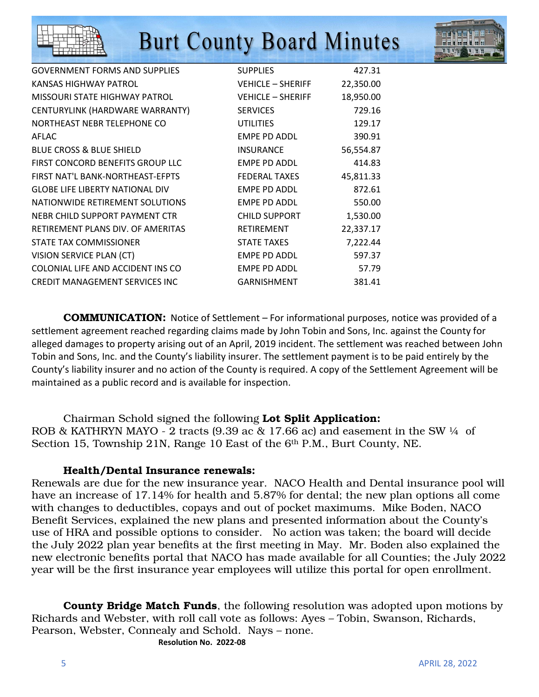

| <b>GOVERNMENT FORMS AND SUPPLIES</b>   | <b>SUPPLIES</b>          | 427.31    |
|----------------------------------------|--------------------------|-----------|
| KANSAS HIGHWAY PATROL                  | <b>VEHICLE - SHERIFF</b> | 22,350.00 |
| MISSOURI STATE HIGHWAY PATROL          | <b>VEHICLE – SHERIFF</b> | 18,950.00 |
| CENTURYLINK (HARDWARE WARRANTY)        | <b>SERVICES</b>          | 729.16    |
| NORTHEAST NEBR TELEPHONE CO            | <b>UTILITIES</b>         | 129.17    |
| AFLAC                                  | EMPE PD ADDL             | 390.91    |
| <b>BLUE CROSS &amp; BLUE SHIELD</b>    | <b>INSURANCE</b>         | 56,554.87 |
| FIRST CONCORD BENEFITS GROUP LLC       | EMPE PD ADDL             | 414.83    |
| FIRST NAT'L BANK-NORTHEAST-EFPTS       | <b>FEDERAL TAXES</b>     | 45,811.33 |
| <b>GLOBE LIFE LIBERTY NATIONAL DIV</b> | <b>EMPE PD ADDL</b>      | 872.61    |
| NATIONWIDE RETIREMENT SOLUTIONS        | <b>EMPE PD ADDL</b>      | 550.00    |
| NEBR CHILD SUPPORT PAYMENT CTR         | <b>CHILD SUPPORT</b>     | 1,530.00  |
| RETIREMENT PLANS DIV. OF AMERITAS      | <b>RETIREMENT</b>        | 22,337.17 |
| STATE TAX COMMISSIONER                 | <b>STATE TAXES</b>       | 7,222.44  |
| VISION SERVICE PLAN (CT)               | EMPE PD ADDL             | 597.37    |
| COLONIAL LIFE AND ACCIDENT INS CO      | <b>EMPE PD ADDL</b>      | 57.79     |
| <b>CREDIT MANAGEMENT SERVICES INC</b>  | <b>GARNISHMENT</b>       | 381.41    |
|                                        |                          |           |

 COMMUNICATION: Notice of Settlement – For informational purposes, notice was provided of a settlement agreement reached regarding claims made by John Tobin and Sons, Inc. against the County for alleged damages to property arising out of an April, 2019 incident. The settlement was reached between John Tobin and Sons, Inc. and the County's liability insurer. The settlement payment is to be paid entirely by the County's liability insurer and no action of the County is required. A copy of the Settlement Agreement will be maintained as a public record and is available for inspection.

 Chairman Schold signed the following Lot Split Application: ROB & KATHRYN MAYO - 2 tracts (9.39 ac & 17.66 ac) and easement in the SW  $\frac{1}{4}$  of Section 15, Township 21N, Range 10 East of the 6th P.M., Burt County, NE.

### Health/Dental Insurance renewals:

Renewals are due for the new insurance year. NACO Health and Dental insurance pool will have an increase of 17.14% for health and 5.87% for dental; the new plan options all come with changes to deductibles, copays and out of pocket maximums. Mike Boden, NACO Benefit Services, explained the new plans and presented information about the County's use of HRA and possible options to consider. No action was taken; the board will decide the July 2022 plan year benefits at the first meeting in May. Mr. Boden also explained the new electronic benefits portal that NACO has made available for all Counties; the July 2022 year will be the first insurance year employees will utilize this portal for open enrollment.

**County Bridge Match Funds**, the following resolution was adopted upon motions by Richards and Webster, with roll call vote as follows: Ayes – Tobin, Swanson, Richards, Pearson, Webster, Connealy and Schold. Nays – none. **Resolution No. 2022-08**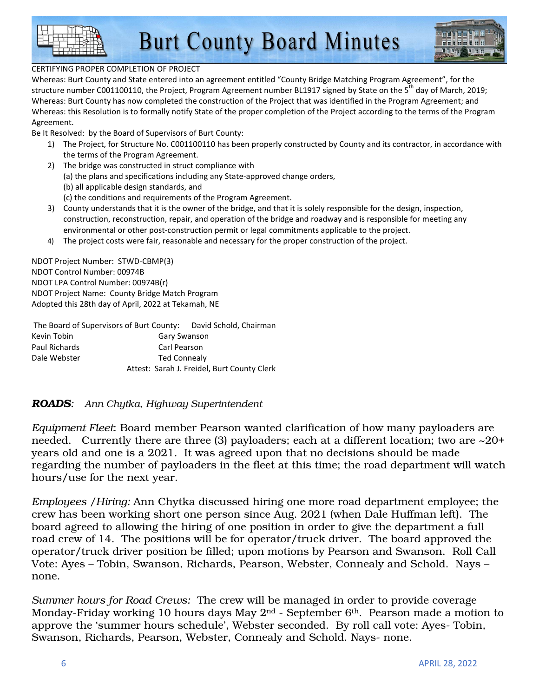

### CERTIFYING PROPER COMPLETION OF PROJECT

Whereas: Burt County and State entered into an agreement entitled "County Bridge Matching Program Agreement", for the structure number C001100110, the Project, Program Agreement number BL1917 signed by State on the 5<sup>th</sup> day of March, 2019; Whereas: Burt County has now completed the construction of the Project that was identified in the Program Agreement; and Whereas: this Resolution is to formally notify State of the proper completion of the Project according to the terms of the Program Agreement.

Be It Resolved: by the Board of Supervisors of Burt County:

- 1) The Project, for Structure No. C001100110 has been properly constructed by County and its contractor, in accordance with the terms of the Program Agreement.
- 2) The bridge was constructed in struct compliance with (a) the plans and specifications including any State-approved change orders, (b) all applicable design standards, and
	- (c) the conditions and requirements of the Program Agreement.
- 3) County understands that it is the owner of the bridge, and that it is solely responsible for the design, inspection, construction, reconstruction, repair, and operation of the bridge and roadway and is responsible for meeting any environmental or other post-construction permit or legal commitments applicable to the project.
- 4) The project costs were fair, reasonable and necessary for the proper construction of the project.

NDOT Project Number: STWD-CBMP(3) NDOT Control Number: 00974B NDOT LPA Control Number: 00974B(r) NDOT Project Name: County Bridge Match Program Adopted this 28th day of April, 2022 at Tekamah, NE

 The Board of Supervisors of Burt County: David Schold, Chairman Kevin Tobin Gary Swanson Paul Richards **Carl Pearson** Dale Webster Ted Connealy Attest: Sarah J. Freidel, Burt County Clerk

### *ROADS: Ann Chytka, Highway Superintendent*

*Equipment Fleet*: Board member Pearson wanted clarification of how many payloaders are needed. Currently there are three (3) payloaders; each at a different location; two are ~20+ years old and one is a 2021. It was agreed upon that no decisions should be made regarding the number of payloaders in the fleet at this time; the road department will watch hours/use for the next year.

*Employees /Hiring:* Ann Chytka discussed hiring one more road department employee; the crew has been working short one person since Aug. 2021 (when Dale Huffman left). The board agreed to allowing the hiring of one position in order to give the department a full road crew of 14. The positions will be for operator/truck driver. The board approved the operator/truck driver position be filled; upon motions by Pearson and Swanson. Roll Call Vote: Ayes – Tobin, Swanson, Richards, Pearson, Webster, Connealy and Schold. Nays – none.

*Summer hours for Road Crews:* The crew will be managed in order to provide coverage Monday-Friday working 10 hours days May 2<sup>nd</sup> - September 6<sup>th</sup>. Pearson made a motion to approve the 'summer hours schedule', Webster seconded. By roll call vote: Ayes- Tobin, Swanson, Richards, Pearson, Webster, Connealy and Schold. Nays- none.